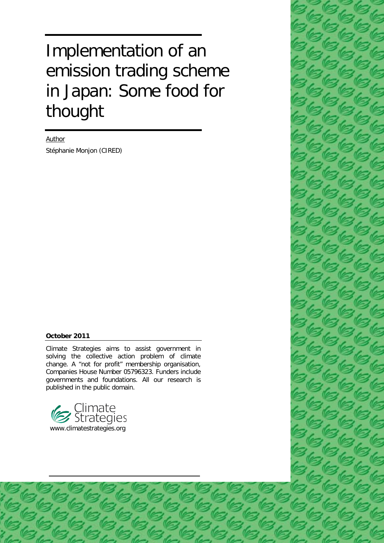# Implementation of an emission trading scheme in Japan: Some food for thought

Author

Stéphanie Monjon (CIRED)

#### **October 2011**

Climate Strategies aims to assist government in solving the collective action problem of climate change. A "not for profit" membership organisation, Companies House Number 05796323. Funders include governments and foundations. All our research is published in the public domain.



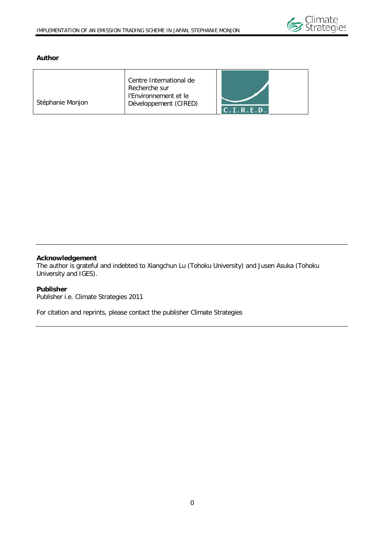

#### **Author**

|                  | Centre International de<br>Recherche sur       |                    |
|------------------|------------------------------------------------|--------------------|
| Stéphanie Monjon | l'Environnement et le<br>Développement (CIRED) | $C$ $I$ . R. E. D. |

#### **Acknowledgement**

The author is grateful and indebted to Xiangchun Lu (Tohoku University) and Jusen Asuka (Tohoku University and IGES).

#### **Publisher**

Publisher i.e. Climate Strategies 2011

For citation and reprints, please contact the publisher Climate Strategies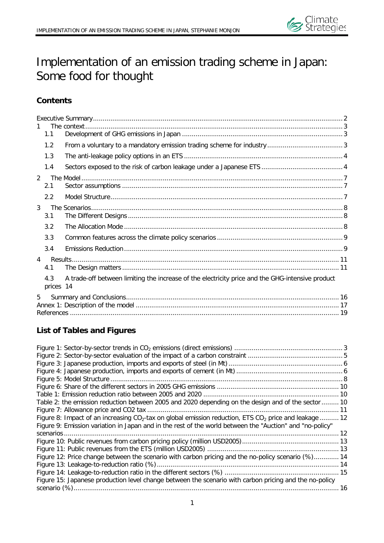

# Implementation of an emission trading scheme in Japan: Some food for thought

## **Contents**

| 1.1                   |                                                                                                  |  |
|-----------------------|--------------------------------------------------------------------------------------------------|--|
| 1.2                   |                                                                                                  |  |
| 1.3                   |                                                                                                  |  |
| 1.4                   |                                                                                                  |  |
| $\mathfrak{D}$<br>2.1 |                                                                                                  |  |
| 2.2                   |                                                                                                  |  |
| 3<br>3.1              |                                                                                                  |  |
| 3.2                   |                                                                                                  |  |
| 3.3                   |                                                                                                  |  |
| 3.4                   |                                                                                                  |  |
| $\overline{4}$        |                                                                                                  |  |
| 4.1                   |                                                                                                  |  |
| 4.3<br>prices 14      | A trade-off between limiting the increase of the electricity price and the GHG-intensive product |  |
| 5                     |                                                                                                  |  |
|                       |                                                                                                  |  |
|                       |                                                                                                  |  |

# **List of Tables and Figures**

| Table 2: the emission reduction between 2005 and 2020 depending on the design and of the sector  10        |  |
|------------------------------------------------------------------------------------------------------------|--|
|                                                                                                            |  |
| Figure 8: Impact of an increasing $CO2$ -tax on global emission reduction, ETS $CO2$ price and leakage  12 |  |
| Figure 9: Emission variation in Japan and in the rest of the world between the "Auction" and "no-policy"   |  |
|                                                                                                            |  |
|                                                                                                            |  |
|                                                                                                            |  |
| Figure 12: Price change between the scenario with carbon pricing and the no-policy scenario (%) 14         |  |
|                                                                                                            |  |
|                                                                                                            |  |
| Figure 15: Japanese production level change between the scenario with carbon pricing and the no-policy     |  |
|                                                                                                            |  |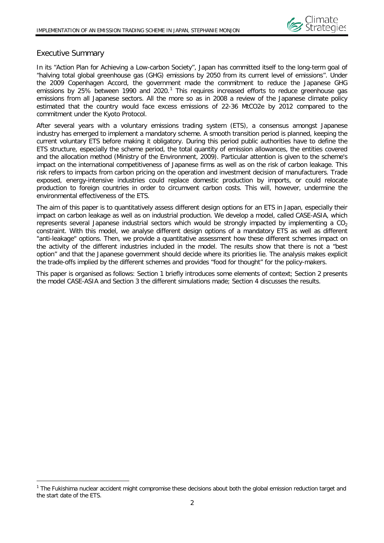

#### <span id="page-3-0"></span>Executive Summary

 $\overline{a}$ 

In its "Action Plan for Achieving a Low-carbon Society", Japan has committed itself to the long-term goal of "halving total global greenhouse gas (GHG) emissions by 2050 from its current level of emissions". Under the 2009 Copenhagen Accord, the government made the commitment to reduce the Japanese GHG emissions by 25% between [1](#page-3-1)990 and 2020.<sup>1</sup> This requires increased efforts to reduce greenhouse gas emissions from all Japanese sectors. All the more so as in 2008 a review of the Japanese climate policy estimated that the country would face excess emissions of 22-36 MtCO2e by 2012 compared to the commitment under the Kyoto Protocol.

After several years with a voluntary emissions trading system (ETS), a consensus amongst Japanese industry has emerged to implement a mandatory scheme. A smooth transition period is planned, keeping the current voluntary ETS before making it obligatory. During this period public authorities have to define the ETS structure, especially the scheme period, the total quantity of emission allowances, the entities covered and the allocation method (Ministry of the Environment, 2009). Particular attention is given to the scheme's impact on the international competitiveness of Japanese firms as well as on the risk of carbon leakage. This risk refers to impacts from carbon pricing on the operation and investment decision of manufacturers. Trade exposed, energy-intensive industries could replace domestic production by imports, or could relocate production to foreign countries in order to circumvent carbon costs. This will, however, undermine the environmental effectiveness of the ETS.

The aim of this paper is to quantitatively assess different design options for an ETS in Japan, especially their impact on carbon leakage as well as on industrial production. We develop a model, called CASE-ASIA, which represents several Japanese industrial sectors which would be strongly impacted by implementing a  $CO<sub>2</sub>$ constraint. With this model, we analyse different design options of a mandatory ETS as well as different "anti-leakage" options. Then, we provide a quantitative assessment how these different schemes impact on the activity of the different industries included in the model. The results show that there is not a "best option" and that the Japanese government should decide where its priorities lie. The analysis makes explicit the trade-offs implied by the different schemes and provides "food for thought" for the policy-makers.

This paper is organised as follows: Section 1 briefly introduces some elements of context; Section 2 presents the model CASE-ASIA and Section 3 the different simulations made; Section 4 discusses the results.

<span id="page-3-1"></span><sup>&</sup>lt;sup>1</sup> The Fukishima nuclear accident might compromise these decisions about both the global emission reduction target and the start date of the ETS.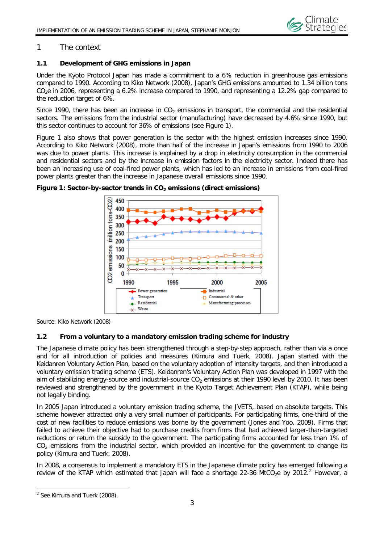

#### <span id="page-4-0"></span>1 The context

#### <span id="page-4-1"></span>**1.1 Development of GHG emissions in Japan**

Under the Kyoto Protocol Japan has made a commitment to a 6% reduction in greenhouse gas emissions compared to 1990. According to Kiko Network (2008), Japan's GHG emissions amounted to 1.34 billion tons  $CO<sub>2</sub>e$  in 2006, representing a 6.2% increase compared to 1990, and representing a 12.2% gap compared to the reduction target of 6%.

Since 1990, there has been an increase in  $CO<sub>2</sub>$  emissions in transport, the commercial and the residential sectors. The emissions from the industrial sector (manufacturing) have decreased by 4.6% since 1990, but this sector continues to account for 36% of emissions (see Figure 1).

Figure 1 also shows that power generation is the sector with the highest emission increases since 1990. According to Kiko Network (2008), more than half of the increase in Japan's emissions from 1990 to 2006 was due to power plants. This increase is explained by a drop in electricity consumption in the commercial and residential sectors and by the increase in emission factors in the electricity sector. Indeed there has been an increasing use of coal-fired power plants, which has led to an increase in emissions from coal-fired power plants greater than the increase in Japanese overall emissions since 1990.



<span id="page-4-3"></span>Figure 1: Sector-by-sector trends in CO<sub>2</sub> emissions (direct emissions)

<span id="page-4-2"></span>Source: Kiko Network (2008)

#### **1.2 From a voluntary to a mandatory emission trading scheme for industry**

The Japanese climate policy has been strengthened through a step-by-step approach, rather than via a once and for all introduction of policies and measures (Kimura and Tuerk, 2008). Japan started with the Keidanren Voluntary Action Plan, based on the voluntary adoption of intensity targets, and then introduced a voluntary emission trading scheme (ETS). Keidanren's Voluntary Action Plan was developed in 1997 with the aim of stabilizing energy-source and industrial-source  $CO<sub>2</sub>$  emissions at their 1990 level by 2010. It has been reviewed and strengthened by the government in the Kyoto Target Achievement Plan (KTAP), while being not legally binding.

In 2005 Japan introduced a voluntary emission trading scheme, the JVETS, based on absolute targets. This scheme however attracted only a very small number of participants. For participating firms, one-third of the cost of new facilities to reduce emissions was borne by the government (Jones and Yoo, 2009). Firms that failed to achieve their objective had to purchase credits from firms that had achieved larger-than-targeted reductions or return the subsidy to the government. The participating firms accounted for less than 1% of  $CO<sub>2</sub>$  emissions from the industrial sector, which provided an incentive for the government to change its policy (Kimura and Tuerk, 2008).

In 2008, a consensus to implement a mandatory ETS in the Japanese climate policy has emerged following a review of the KTAP which estimated that Japan will face a shortage [2](#page-4-4)2-36 MtCO<sub>2</sub>e by 2012.<sup>2</sup> However, a

 $\overline{a}$ 

<span id="page-4-4"></span><sup>&</sup>lt;sup>2</sup> See Kimura and Tuerk (2008).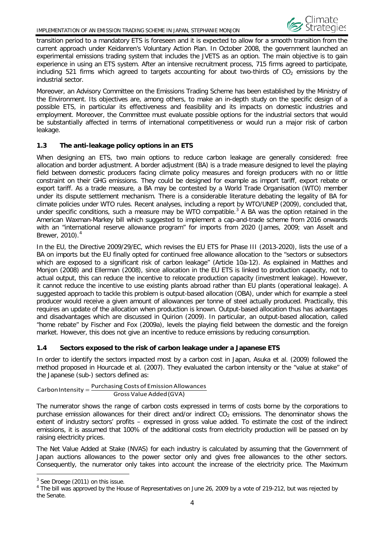

transition period to a mandatory ETS is foreseen and it is expected to allow for a smooth transition from the current approach under Keidanren's Voluntary Action Plan. In October 2008, the government launched an experimental emissions trading system that includes the JVETS as an option. The main objective is to gain experience in using an ETS system. After an intensive recruitment process, 715 firms agreed to participate, including 521 firms which agreed to targets accounting for about two-thirds of  $CO<sub>2</sub>$  emissions by the industrial sector.

Moreover, an Advisory Committee on the Emissions Trading Scheme has been established by the Ministry of the Environment. Its objectives are, among others, to make an in-depth study on the specific design of a possible ETS, in particular its effectiveness and feasibility and its impacts on domestic industries and employment. Moreover, the Committee must evaluate possible options for the industrial sectors that would be substantially affected in terms of international competitiveness or would run a major risk of carbon leakage.

#### <span id="page-5-0"></span>**1.3 The anti-leakage policy options in an ETS**

When designing an ETS, two main options to reduce carbon leakage are generally considered: free allocation and border adjustment. A border adjustment (BA) is a trade measure designed to level the playing field between domestic producers facing climate policy measures and foreign producers with no or little constraint on their GHG emissions. They could be designed for example as import tariff, export rebate or export tariff. As a trade measure, a BA may be contested by a World Trade Organisation (WTO) member under its dispute settlement mechanism. There is a considerable literature debating the legality of BA for climate policies under WTO rules. Recent analyses, including a report by WTO/UNEP (2009), concluded that, under specific conditions, such a measure may be WTO compatible.<sup>[3](#page-5-2)</sup> A BA was the option retained in the American Waxman-Markey bill which suggested to implement a cap-and-trade scheme from 2016 onwards with an "international reserve allowance program" for imports from 2020 (James, 2009; van Asselt and Brewer, 2010).<sup>[4](#page-5-3)</sup>

In the EU, the Directive 2009/29/EC, which revises the EU ETS for Phase III (2013-2020), lists the use of a BA on imports but the EU finally opted for continued free allowance allocation to the "sectors or subsectors which are exposed to a significant risk of carbon leakage" (Article 10a-12). As explained in Matthes and Monjon (2008) and Ellerman (2008), since allocation in the EU ETS is linked to production capacity, not to actual output, this can reduce the incentive to relocate production capacity (investment leakage). However, it cannot reduce the incentive to use existing plants abroad rather than EU plants (operational leakage). A suggested approach to tackle this problem is output-based allocation (OBA), under which for example a steel producer would receive a given amount of allowances per tonne of steel actually produced. Practically, this requires an update of the allocation when production is known. Output-based allocation thus has advantages and disadvantages which are discussed in Quirion (2009). In particular, an output-based allocation, called "home rebate" by Fischer and Fox (2009a), levels the playing field between the domestic and the foreign market. However, this does not give an incentive to reduce emissions by reducing consumption.

#### <span id="page-5-1"></span>**1.4 Sectors exposed to the risk of carbon leakage under a Japanese ETS**

In order to identify the sectors impacted most by a carbon cost in Japan, Asuka et al. (2009) followed the method proposed in Hourcade et al. (2007). They evaluated the carbon intensity or the "value at stake" of the Japanese (sub-) sectors defined as:

### Gross Value Added(GVA)  $\textsf{CarbonIntensity} = \frac{\textsf{Purchasing Costs of Emission Allowances}}{}$

The numerator shows the range of carbon costs expressed in terms of costs borne by the corporations to purchase emission allowances for their direct and/or indirect  $CO<sub>2</sub>$  emissions. The denominator shows the extent of industry sectors' profits – expressed in gross value added. To estimate the cost of the indirect emissions, it is assumed that 100% of the additional costs from electricity production will be passed on by raising electricity prices.

The Net Value Added at Stake (NVAS) for each industry is calculated by assuming that the Government of Japan auctions allowances to the power sector only and gives free allowances to the other sectors. Consequently, the numerator only takes into account the increase of the electricity price. The Maximum

 $\overline{a}$ <sup>3</sup> See Droege (2011) on this issue.

<span id="page-5-3"></span><span id="page-5-2"></span><sup>&</sup>lt;sup>4</sup> The bill was approved by the House of Representatives on June 26, 2009 by a vote of 219-212, but was rejected by the Senate.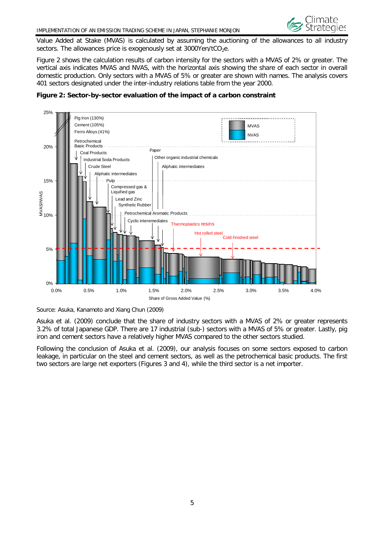

Value Added at Stake (MVAS) is calculated by assuming the auctioning of the allowances to all industry sectors. The allowances price is exogenously set at  $3000$ Yen/tCO<sub>2</sub>e.

Figure 2 shows the calculation results of carbon intensity for the sectors with a MVAS of 2% or greater. The vertical axis indicates MVAS and NVAS, with the horizontal axis showing the share of each sector in overall domestic production. Only sectors with a MVAS of 5% or greater are shown with names. The analysis covers 401 sectors designated under the inter-industry relations table from the year 2000.



<span id="page-6-0"></span>

Asuka et al. (2009) conclude that the share of industry sectors with a MVAS of 2% or greater represents 3.2% of total Japanese GDP. There are 17 industrial (sub-) sectors with a MVAS of 5% or greater. Lastly, pig iron and cement sectors have a relatively higher MVAS compared to the other sectors studied.

<span id="page-6-1"></span>Following the conclusion of Asuka et al. (2009), our analysis focuses on some sectors exposed to carbon leakage, in particular on the steel and cement sectors, as well as the petrochemical basic products. The first two sectors are large net exporters (Figures 3 and 4), while the third sector is a net importer.

Source: Asuka, Kanamoto and Xiang Chun (2009)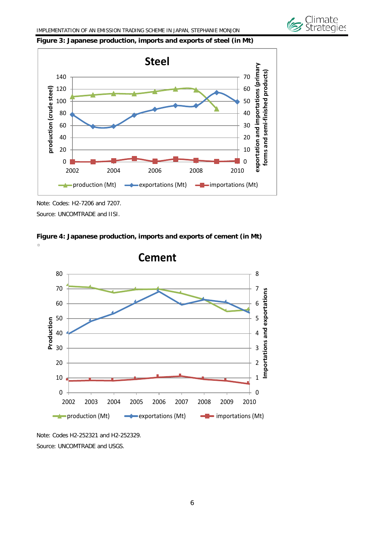





Note: Codes: H2-7206 and 7207. Source: UNCOMTRADE and IISI.

<span id="page-7-0"></span>



Note: Codes H2-252321 and H2-252329. Source: UNCOMTRADE and USGS.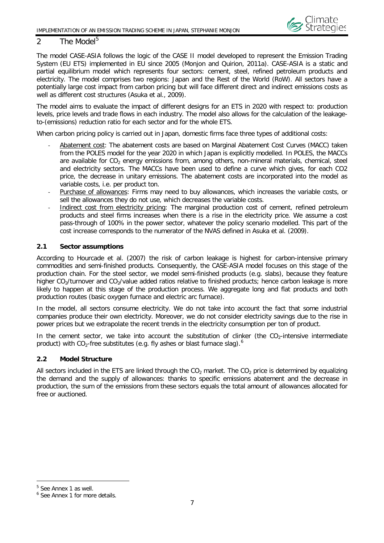#### <span id="page-8-0"></span>2 The Model<sup>[5](#page-8-3)</sup>

The model CASE-ASIA follows the logic of the CASE II model developed to represent the Emission Trading System (EU ETS) implemented in EU since 2005 (Monjon and Quirion, 2011a). CASE-ASIA is a static and partial equilibrium model which represents four sectors: cement, steel, refined petroleum products and electricity. The model comprises two regions: Japan and the Rest of the World (RoW). All sectors have a potentially large cost impact from carbon pricing but will face different direct and indirect emissions costs as well as different cost structures (Asuka et al., 2009).

The model aims to evaluate the impact of different designs for an ETS in 2020 with respect to: production levels, price levels and trade flows in each industry. The model also allows for the calculation of the leakageto-(emissions) reduction ratio for each sector and for the whole ETS.

When carbon pricing policy is carried out in Japan, domestic firms face three types of additional costs:

- Abatement cost: The abatement costs are based on Marginal Abatement Cost Curves (MACC) taken from the POLES model for the year 2020 in which Japan is explicitly modelled. In POLES, the MACCs are available for  $CO<sub>2</sub>$  energy emissions from, among others, non-mineral materials, chemical, steel and electricity sectors. The MACCs have been used to define a curve which gives, for each CO2 price, the decrease in unitary emissions. The abatement costs are incorporated into the model as variable costs, i.e. per product ton.
- Purchase of allowances: Firms may need to buy allowances, which increases the variable costs, or sell the allowances they do not use, which decreases the variable costs.
- Indirect cost from electricity pricing: The marginal production cost of cement, refined petroleum products and steel firms increases when there is a rise in the electricity price. We assume a cost pass-through of 100% in the power sector, whatever the policy scenario modelled. This part of the cost increase corresponds to the numerator of the NVAS defined in Asuka et al. (2009).

#### <span id="page-8-1"></span>**2.1 Sector assumptions**

According to Hourcade et al. (2007) the risk of carbon leakage is highest for carbon-intensive primary commodities and semi-finished products. Consequently, the CASE-ASIA model focuses on this stage of the production chain. For the steel sector, we model semi-finished products (e.g. slabs), because they feature higher CO<sub>2</sub>/turnover and CO<sub>2</sub>/value added ratios relative to finished products; hence carbon leakage is more likely to happen at this stage of the production process. We aggregate long and flat products and both production routes (basic oxygen furnace and electric arc furnace).

In the model, all sectors consume electricity. We do not take into account the fact that some industrial companies produce their own electricity. Moreover, we do not consider electricity savings due to the rise in power prices but we extrapolate the recent trends in the electricity consumption per ton of product.

In the cement sector, we take into account the substitution of clinker (the  $CO<sub>2</sub>$ -intensive intermediate product) with  $CO_2$ -free substitutes (e.g. fly ashes or blast furnace slag).<sup>[6](#page-8-4)</sup>

#### <span id="page-8-2"></span>**2.2 Model Structure**

All sectors included in the ETS are linked through the  $CO<sub>2</sub>$  market. The  $CO<sub>2</sub>$  price is determined by equalizing the demand and the supply of allowances: thanks to specific emissions abatement and the decrease in production, the sum of the emissions from these sectors equals the total amount of allowances allocated for free or auctioned.

 $\overline{a}$ 

<span id="page-8-3"></span><sup>5</sup> See Annex 1 as well.

<span id="page-8-4"></span><sup>6</sup> See Annex 1 for more details.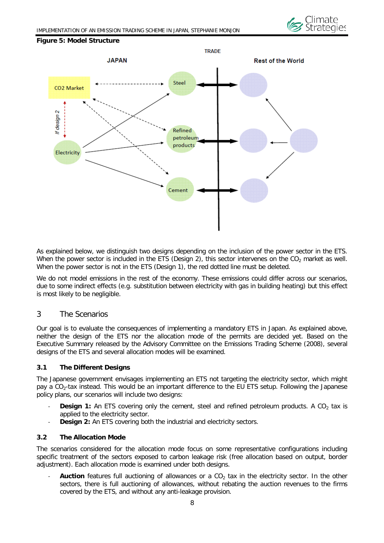

#### <span id="page-9-3"></span>**Figure 5: Model Structure**



As explained below, we distinguish two designs depending on the inclusion of the power sector in the ETS. When the power sector is included in the ETS (Design 2), this sector intervenes on the  $CO<sub>2</sub>$  market as well. When the power sector is not in the ETS (Design 1), the red dotted line must be deleted.

We do not model emissions in the rest of the economy. These emissions could differ across our scenarios, due to some indirect effects (e.g. substitution between electricity with gas in building heating) but this effect is most likely to be negligible.

#### <span id="page-9-0"></span>3 The Scenarios

Our goal is to evaluate the consequences of implementing a mandatory ETS in Japan. As explained above, neither the design of the ETS nor the allocation mode of the permits are decided yet. Based on the Executive Summary released by the Advisory Committee on the Emissions Trading Scheme (2008), several designs of the ETS and several allocation modes will be examined.

#### <span id="page-9-1"></span>**3.1 The Different Designs**

The Japanese government envisages implementing an ETS not targeting the electricity sector, which might pay a  $CO<sub>2</sub>$ -tax instead. This would be an important difference to the EU ETS setup. Following the Japanese policy plans, our scenarios will include two designs:

- **Design 1:** An ETS covering only the cement, steel and refined petroleum products. A CO<sub>2</sub> tax is applied to the electricity sector.
- **Design 2:** An ETS covering both the industrial and electricity sectors.

#### <span id="page-9-2"></span>**3.2 The Allocation Mode**

The scenarios considered for the allocation mode focus on some representative configurations including specific treatment of the sectors exposed to carbon leakage risk (free allocation based on output, border adjustment). Each allocation mode is examined under both designs.

Auction features full auctioning of allowances or a CO<sub>2</sub> tax in the electricity sector. In the other sectors, there is full auctioning of allowances, without rebating the auction revenues to the firms covered by the ETS, and without any anti-leakage provision.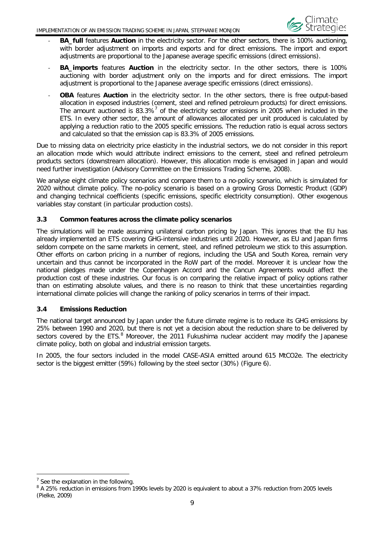

- *-* **BA\_full** features **Auction** in the electricity sector. For the other sectors, there is 100% auctioning, with border adjustment on imports and exports and for direct emissions. The import and export adjustments are proportional to the Japanese average specific emissions (direct emissions).
- *-* **BA\_imports** features **Auction** in the electricity sector. In the other sectors, there is 100% auctioning with border adjustment only on the imports and for direct emissions. The import adjustment is proportional to the Japanese average specific emissions (direct emissions).
- **OBA** features **Auction** in the electricity sector. In the other sectors, there is free output-based allocation in exposed industries (cement, steel and refined petroleum products) for direct emissions. The amount auctioned is 83.3%<sup>[7](#page-10-2)</sup> of the electricity sector emissions in 2005 when included in the ETS. In every other sector, the amount of allowances allocated per unit produced is calculated by applying a reduction ratio to the 2005 specific emissions. The reduction ratio is equal across sectors and calculated so that the emission cap is 83.3% of 2005 emissions.

Due to missing data on electricity price elasticity in the industrial sectors, we do not consider in this report an allocation mode which would attribute indirect emissions to the cement, steel and refined petroleum products sectors (downstream allocation). However, this allocation mode is envisaged in Japan and would need further investigation (Advisory Committee on the Emissions Trading Scheme, 2008).

We analyse eight climate policy scenarios and compare them to a no-policy scenario, which is simulated for 2020 without climate policy. The no-policy scenario is based on a growing Gross Domestic Product (GDP) and changing technical coefficients (specific emissions, specific electricity consumption). Other exogenous variables stay constant (in particular production costs).

#### <span id="page-10-0"></span>**3.3 Common features across the climate policy scenarios**

The simulations will be made assuming unilateral carbon pricing by Japan. This ignores that the EU has already implemented an ETS covering GHG-intensive industries until 2020. However, as EU and Japan firms seldom compete on the same markets in cement, steel, and refined petroleum we stick to this assumption. Other efforts on carbon pricing in a number of regions, including the USA and South Korea, remain very uncertain and thus cannot be incorporated in the RoW part of the model. Moreover it is unclear how the national pledges made under the Copenhagen Accord and the Cancun Agreements would affect the production cost of these industries. Our focus is on comparing the relative impact of policy options rather than on estimating absolute values, and there is no reason to think that these uncertainties regarding international climate policies will change the ranking of policy scenarios in terms of their impact.

#### <span id="page-10-1"></span>**3.4 Emissions Reduction**

The national target announced by Japan under the future climate regime is to reduce its GHG emissions by 25% between 1990 and 2020, but there is not yet a decision about the reduction share to be delivered by sectors covered by the ETS. $8$  Moreover, the 2011 Fukushima nuclear accident may modify the Japanese climate policy, both on global and industrial emission targets.

In 2005, the four sectors included in the model CASE-ASIA emitted around 615 MtCO2e. The electricity sector is the biggest emitter (59%) following by the steel sector (30%) (Figure 6).

 $\overline{a}$ 

<span id="page-10-3"></span><span id="page-10-2"></span><sup>&</sup>lt;sup>7</sup> See the explanation in the following.<br><sup>8</sup> A 25% reduction in emissions from 1990s levels by 2020 is equivalent to about a 37% reduction from 2005 levels (Pielke, 2009)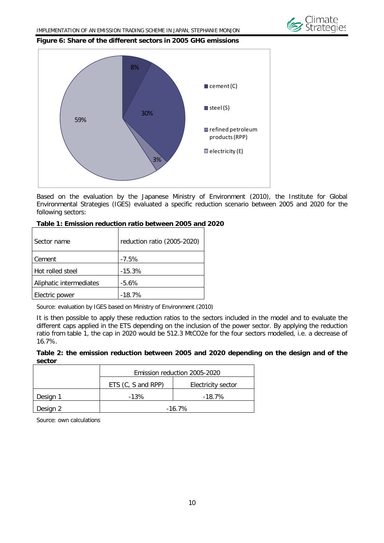

#### <span id="page-11-1"></span>**Figure 6: Share of the different sectors in 2005 GHG emissions**



Based on the evaluation by the Japanese Ministry of Environment (2010), the Institute for Global Environmental Strategies (IGES) evaluated a specific reduction scenario between 2005 and 2020 for the following sectors:

| Sector name             | reduction ratio (2005-2020) |
|-------------------------|-----------------------------|
| Cement                  | $-7.5%$                     |
| Hot rolled steel        | $-15.3%$                    |
| Aliphatic intermediates | $-5.6%$                     |
| Electric power          | $-18.7%$                    |

#### <span id="page-11-2"></span>**Table 1: Emission reduction ratio between 2005 and 2020**

Source: evaluation by IGES based on Ministry of Environment (2010)

It is then possible to apply these reduction ratios to the sectors included in the model and to evaluate the different caps applied in the ETS depending on the inclusion of the power sector. By applying the reduction ratio from table 1, the cap in 2020 would be 512.3 MtCO2e for the four sectors modelled, i.e. a decrease of 16.7%.

#### <span id="page-11-3"></span>**Table 2: the emission reduction between 2005 and 2020 depending on the design and of the sector**

|          | Emission reduction 2005-2020 |                    |
|----------|------------------------------|--------------------|
|          | ETS (C, S and RPP)           | Electricity sector |
| Design 1 | $-13%$                       | $-18.7\%$          |
| Design 2 | $-16.7\%$                    |                    |

<span id="page-11-0"></span>Source: own calculations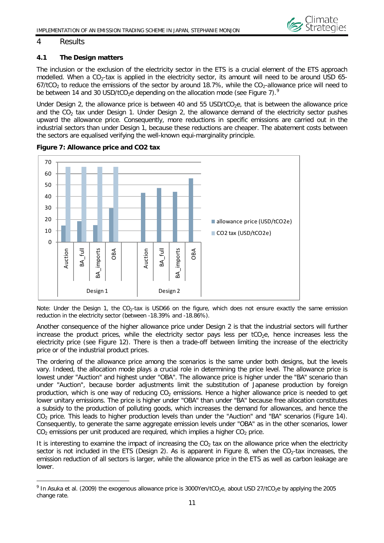

#### 4 Results

 $\overline{a}$ 

#### <span id="page-12-0"></span>**4.1 The Design matters**

The inclusion or the exclusion of the electricity sector in the ETS is a crucial element of the ETS approach modelled. When a CO<sub>2</sub>-tax is applied in the electricity sector, its amount will need to be around USD 65- $67/10<sub>2</sub>$  to reduce the emissions of the sector by around 18.7%, while the CO<sub>2</sub>-allowance price will need to be between 14 and 30 USD/tCO<sub>2</sub>e depending on the allocation mode (see Figure 7).<sup>[9](#page-12-2)</sup>

Under Design 2, the allowance price is between 40 and 55  $USD/tCO<sub>2</sub>e$ , that is between the allowance price and the  $CO<sub>2</sub>$  tax under Design 1. Under Design 2, the allowance demand of the electricity sector pushes upward the allowance price. Consequently, more reductions in specific emissions are carried out in the industrial sectors than under Design 1, because these reductions are cheaper. The abatement costs between the sectors are equalised verifying the well-known equi-marginality principle.



<span id="page-12-1"></span>**Figure 7: Allowance price and CO2 tax** 

Note: Under the Design 1, the  $CO<sub>2</sub>$ -tax is USD66 on the figure, which does not ensure exactly the same emission reduction in the electricity sector (between -18.39% and -18.86%).

Another consequence of the higher allowance price under Design 2 is that the industrial sectors will further increase the product prices, while the electricity sector pays less per  $tCO<sub>2</sub>e$ , hence increases less the electricity price (see Figure 12). There is then a trade-off between limiting the increase of the electricity price or of the industrial product prices.

The ordering of the allowance price among the scenarios is the same under both designs, but the levels vary. Indeed, the allocation mode plays a crucial role in determining the price level. The allowance price is lowest under "Auction" and highest under "OBA". The allowance price is higher under the "BA" scenario than under "Auction", because border adjustments limit the substitution of Japanese production by foreign production, which is one way of reducing  $CO<sub>2</sub>$  emissions. Hence a higher allowance price is needed to get lower unitary emissions. The price is higher under "OBA" than under "BA" because free allocation constitutes a subsidy to the production of polluting goods, which increases the demand for allowances, and hence the CO<sub>2</sub> price. This leads to higher production levels than under the "Auction" and "BA" scenarios (Figure 14). Consequently, to generate the same aggregate emission levels under "OBA" as in the other scenarios, lower  $CO<sub>2</sub>$  emissions per unit produced are required, which implies a higher  $CO<sub>2</sub>$  price.

It is interesting to examine the impact of increasing the  $CO<sub>2</sub>$  tax on the allowance price when the electricity sector is not included in the ETS (Design 2). As is apparent in Figure 8, when the  $CO<sub>2</sub>$ -tax increases, the emission reduction of all sectors is larger, while the allowance price in the ETS as well as carbon leakage are lower.

<span id="page-12-2"></span> $9$  In Asuka et al. (2009) the exogenous allowance price is 3000Yen/tCO<sub>2</sub>e, about USD 27/tCO<sub>2</sub>e by applying the 2005 change rate.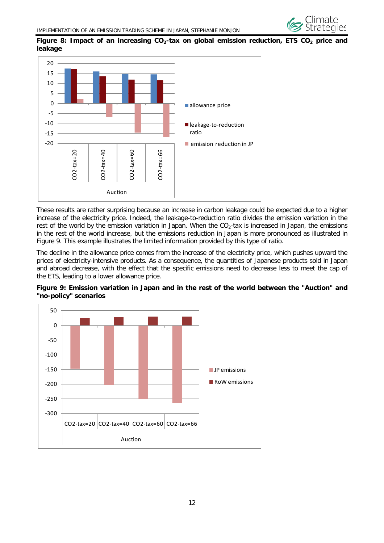

#### <span id="page-13-0"></span>Figure 8: Impact of an increasing CO<sub>2</sub>-tax on global emission reduction, ETS CO<sub>2</sub> price and **leakage**



These results are rather surprising because an increase in carbon leakage could be expected due to a higher increase of the electricity price. Indeed, the leakage-to-reduction ratio divides the emission variation in the rest of the world by the emission variation in Japan. When the  $CO<sub>2</sub>$ -tax is increased in Japan, the emissions in the rest of the world increase, but the emissions reduction in Japan is more pronounced as illustrated in Figure 9. This example illustrates the limited information provided by this type of ratio.

The decline in the allowance price comes from the increase of the electricity price, which pushes upward the prices of electricity-intensive products. As a consequence, the quantities of Japanese products sold in Japan and abroad decrease, with the effect that the specific emissions need to decrease less to meet the cap of the ETS, leading to a lower allowance price.

<span id="page-13-1"></span>

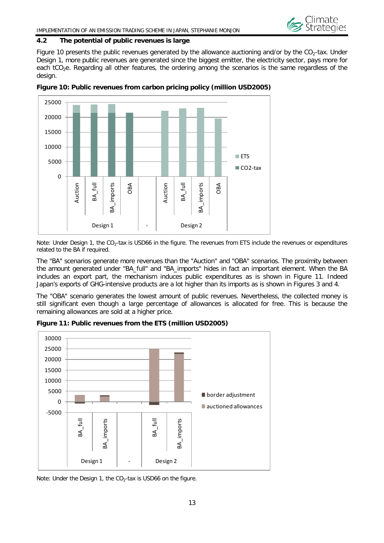

#### **4.2 The potential of public revenues is large**

Figure 10 presents the public revenues generated by the allowance auctioning and/or by the  $CO<sub>2</sub>$ -tax. Under Design 1, more public revenues are generated since the biggest emitter, the electricity sector, pays more for each tCO<sub>2</sub>e. Regarding all other features, the ordering among the scenarios is the same regardless of the design.



<span id="page-14-0"></span>**Figure 10: Public revenues from carbon pricing policy (million USD2005)**

Note: Under Design 1, the CO<sub>2</sub>-tax is USD66 in the figure. The revenues from ETS include the revenues or expenditures related to the BA if required.

The "BA" scenarios generate more revenues than the "Auction" and "OBA" scenarios. The proximity between the amount generated under "BA\_full" and "BA\_imports" hides in fact an important element. When the BA includes an export part, the mechanism induces public expenditures as is shown in Figure 11. Indeed Japan's exports of GHG-intensive products are a lot higher than its imports as is shown in Figures 3 and 4.

The "OBA" scenario generates the lowest amount of public revenues. Nevertheless, the collected money is still significant even though a large percentage of allowances is allocated for free. This is because the remaining allowances are sold at a higher price.



<span id="page-14-1"></span>**Figure 11: Public revenues from the ETS (million USD2005)**

Note: Under the Design 1, the  $CO<sub>2</sub>$ -tax is USD66 on the figure.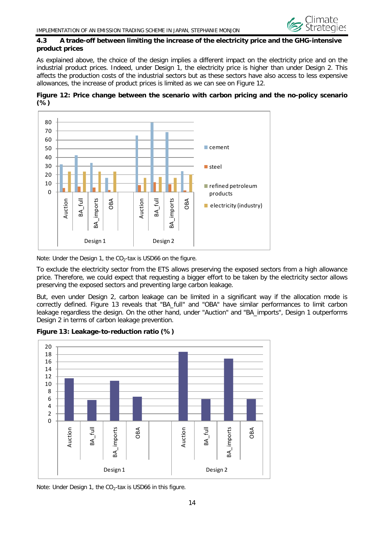

#### <span id="page-15-0"></span>**4.3 A trade-off between limiting the increase of the electricity price and the GHG-intensive product prices**

As explained above, the choice of the design implies a different impact on the electricity price and on the industrial product prices. Indeed, under Design 1, the electricity price is higher than under Design 2. This affects the production costs of the industrial sectors but as these sectors have also access to less expensive allowances, the increase of product prices is limited as we can see on Figure 12.

<span id="page-15-1"></span>



Note: Under the Design 1, the  $CO<sub>2</sub>$ -tax is USD66 on the figure.

To exclude the electricity sector from the ETS allows preserving the exposed sectors from a high allowance price. Therefore, we could expect that requesting a bigger effort to be taken by the electricity sector allows preserving the exposed sectors and preventing large carbon leakage.

But, even under Design 2, carbon leakage can be limited in a significant way if the allocation mode is correctly defined. Figure 13 reveals that "BA\_full" and "OBA" have similar performances to limit carbon leakage regardless the design. On the other hand, under "Auction" and "BA\_imports", Design 1 outperforms Design 2 in terms of carbon leakage prevention.

<span id="page-15-2"></span>



Note: Under Design 1, the  $CO<sub>2</sub>$ -tax is USD66 in this figure.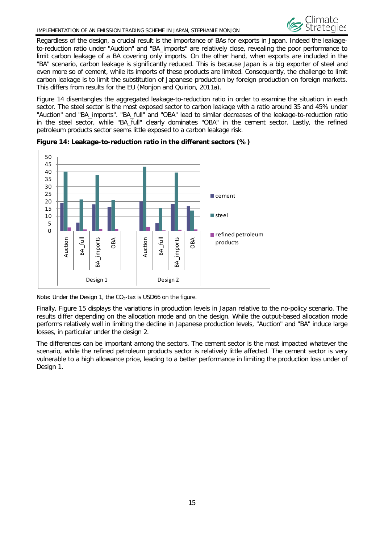#### IMPLEMENTATION OF AN EMISSION TRADING SCHEME IN JAPAN, STEPHANIE MONJON



Regardless of the design, a crucial result is the importance of BAs for exports in Japan. Indeed the leakageto-reduction ratio under "Auction" and "BA\_imports" are relatively close, revealing the poor performance to limit carbon leakage of a BA covering only imports. On the other hand, when exports are included in the "BA" scenario, carbon leakage is significantly reduced. This is because Japan is a big exporter of steel and even more so of cement, while its imports of these products are limited. Consequently, the challenge to limit carbon leakage is to limit the substitution of Japanese production by foreign production on foreign markets. This differs from results for the EU (Monjon and Quirion, 2011a).

Figure 14 disentangles the aggregated leakage-to-reduction ratio in order to examine the situation in each sector. The steel sector is the most exposed sector to carbon leakage with a ratio around 35 and 45% under "Auction" and "BA\_imports". "BA\_full" and "OBA" lead to similar decreases of the leakage-to-reduction ratio in the steel sector, while "BA\_full" clearly dominates "OBA" in the cement sector. Lastly, the refined petroleum products sector seems little exposed to a carbon leakage risk.



<span id="page-16-0"></span>

Note: Under the Design 1, the  $CO<sub>2</sub>$ -tax is USD66 on the figure.

Finally, Figure 15 displays the variations in production levels in Japan relative to the no-policy scenario. The results differ depending on the allocation mode and on the design. While the output-based allocation mode performs relatively well in limiting the decline in Japanese production levels, "Auction" and "BA" induce large losses, in particular under the design 2.

<span id="page-16-1"></span>The differences can be important among the sectors. The cement sector is the most impacted whatever the scenario, while the refined petroleum products sector is relatively little affected. The cement sector is very vulnerable to a high allowance price, leading to a better performance in limiting the production loss under of Design 1.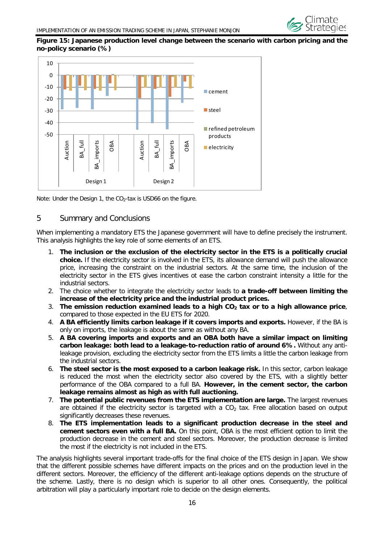#### **Figure 15: Japanese production level change between the scenario with carbon pricing and the no-policy scenario (%)**



<span id="page-17-0"></span>Note: Under the Design 1, the  $CO<sub>2</sub>$ -tax is USD66 on the figure.

#### 5 Summary and Conclusions

When implementing a mandatory ETS the Japanese government will have to define precisely the instrument. This analysis highlights the key role of some elements of an ETS.

- 1. **The inclusion or the exclusion of the electricity sector in the ETS is a politically crucial choice.** If the electricity sector is involved in the ETS, its allowance demand will push the allowance price, increasing the constraint on the industrial sectors. At the same time, the inclusion of the electricity sector in the ETS gives incentives ot ease the carbon constraint intensity a little for the industrial sectors.
- 2. The choice whether to integrate the electricity sector leads to **a trade-off between limiting the increase of the electricity price and the industrial product prices.**
- 3. The emission reduction examined leads to a high CO<sub>2</sub> tax or to a high allowance price, compared to those expected in the EU ETS for 2020.
- 4. **A BA efficiently limits carbon leakage if it covers imports and exports.** However, if the BA is only on imports, the leakage is about the same as without any BA.
- 5. **A BA covering imports and exports and an OBA both have a similar impact on limiting carbon leakage: both lead to a leakage-to-reduction ratio of around 6%.** Without any antileakage provision, excluding the electricity sector from the ETS limits a little the carbon leakage from the industrial sectors.
- 6. **The steel sector is the most exposed to a carbon leakage risk.** In this sector, carbon leakage is reduced the most when the electricity sector also covered by the ETS, with a slightly better performance of the OBA compared to a full BA. **However, in the cement sector, the carbon leakage remains almost as high as with full auctioning.**
- 7. **The potential public revenues from the ETS implementation are large.** The largest revenues are obtained if the electricity sector is targeted with a  $CO<sub>2</sub>$  tax. Free allocation based on output significantly decreases these revenues.
- 8. **The ETS implementation leads to a significant production decrease in the steel and cement sectors even with a full BA.** On this point, OBA is the most efficient option to limit the production decrease in the cement and steel sectors. Moreover, the production decrease is limited the most if the electricity is not included in the ETS.

The analysis highlights several important trade-offs for the final choice of the ETS design in Japan. We show that the different possible schemes have different impacts on the prices and on the production level in the different sectors. Moreover, the efficiency of the different anti-leakage options depends on the structure of the scheme. Lastly, there is no design which is superior to all other ones. Consequently, the political arbitration will play a particularly important role to decide on the design elements.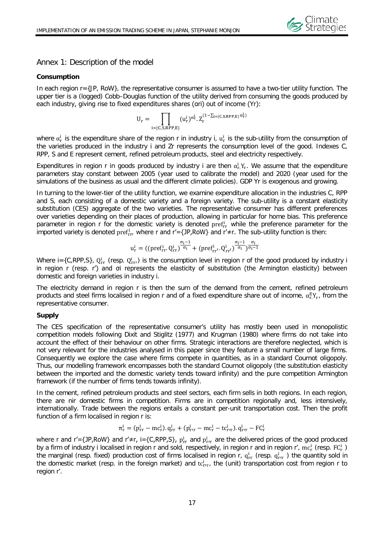

#### <span id="page-18-0"></span>Annex 1: Description of the model

#### **Consumption**

In each region r={JP, RoW}, the representative consumer is assumed to have a two-tier utility function. The upper tier is a (logged) Cobb–Douglas function of the utility derived from consuming the goods produced by each industry, giving rise to fixed expenditures shares (ari) out of income (Yr):

$$
U_r=\prod_{i=\{C,S,RPP,E\}}(u_r^i)^{\alpha_r^i}.\,Z_r^{(1-\sum_{i=\{C,S,RPP,E\}}\alpha_r^i)}
$$

where  $\alpha_r^1$  is the expenditure share of the region r in industry i,  $u_r^1$  is the sub-utility from the consumption of the varieties produced in the industry i and Zr represents the consumption level of the good. Indexes C, RPP, S and E represent cement, refined petroleum products, steel and electricity respectively.

Expenditures in region r in goods produced by industry i are then  $\alpha_r^1 Y_r$ . We assume that the expenditure parameters stay constant between 2005 (year used to calibrate the model) and 2020 (year used for the simulations of the business as usual and the different climate policies). GDP Yr is exogenous and growing.

In turning to the lower-tier of the utility function, we examine expenditure allocation in the industries C, RPP and S, each consisting of a domestic variety and a foreign variety. The sub-utility is a constant elasticity substitution (CES) aggregate of the two varieties. The representative consumer has different preferences over varieties depending on their places of production, allowing in particular for home bias. This preference parameter in region r for the domestic variety is denoted pref<sub>rr</sub> while the preference parameter for the imported variety is denoted  $\text{pref}_{rr'}^1$  where r and r'={JP,RoW} and r'≠r. The sub-utility function is then:

$$
u^i_r = ((pref^i_{rr},Q^i_{rr})^{\tfrac{\sigma_i-1}{\sigma_i}} + (pref^i_{rr'},Q^i_{rr'})^{\tfrac{\sigma_i-1}{\sigma_i}})^{\tfrac{\sigma_i}{\sigma_i-1}}
$$

Where i={C,RPP,S},  $Q_{rr}^1$  (resp.  $Q_{rr}^1$ ) is the consumption level in region r of the good produced by industry i in region r (resp. r') and σi represents the elasticity of substitution (the Armington elasticity) between domestic and foreign varieties in industry i.

The electricity demand in region r is then the sum of the demand from the cement, refined petroleum products and steel firms localised in region r and of a fixed expenditure share out of income,  $\alpha_{r}^{E}Y_{r}$ , from the representative consumer.

#### **Supply**

The CES specification of the representative consumer's utility has mostly been used in monopolistic competition models following Dixit and Stiglitz (1977) and Krugman (1980) where firms do not take into account the effect of their behaviour on other firms. Strategic interactions are therefore neglected, which is not very relevant for the industries analysed in this paper since they feature a small number of large firms. Consequently we explore the case where firms compete in quantities, as in a standard Cournot oligopoly. Thus, our modelling framework encompasses both the standard Cournot oligopoly (the substitution elasticity between the imported and the domestic variety tends toward infinity) and the pure competition Armington framework (if the number of firms tends towards infinity).

In the cement, refined petroleum products and steel sectors, each firm sells in both regions. In each region, there are nir domestic firms in competition. Firms are in competition regionally and, less intensively, internationally. Trade between the regions entails a constant per-unit transportation cost. Then the profit function of a firm localised in region r is:

$$
\pi_{r}^{i} = (p_{rr}^{i} - mc_{r}^{i}). q_{rr}^{i} + (p_{rr}^{i} - mc_{r}^{i} - tc_{rr}^{i}). q_{rr}^{i} - FC_{r}^{i}
$$

where r and r'={JP,RoW} and r'≠r, i={C,RPP,S},  $p_{rr}^i$  and  $p_{rr}^i$  are the delivered prices of the good produced by a firm of industry i localised in region r and sold, respectively, in region r and in region r', mc<sub>r</sub> (resp. FC<sub>r</sub>) the marginal (resp. fixed) production cost of firms localised in region r,  $q_{rr}^i$  (resp.  $q_{rr}^i$ ) the quantity sold in the domestic market (resp. in the foreign market) and  $tc^i_{rrr}$ , the (unit) transportation cost from region r to region r'.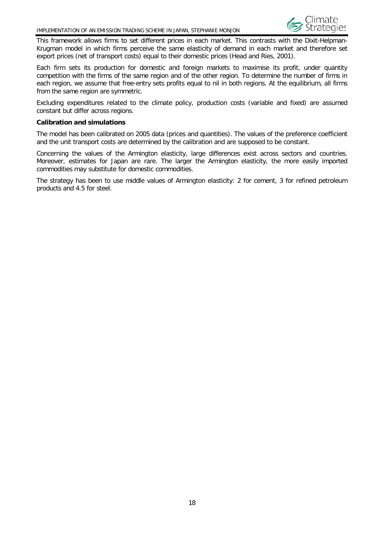

This framework allows firms to set different prices in each market. This contrasts with the Dixit-Helpman-Krugman model in which firms perceive the same elasticity of demand in each market and therefore set export prices (net of transport costs) equal to their domestic prices (Head and Ries, 2001).

Each firm sets its production for domestic and foreign markets to maximise its profit, under quantity competition with the firms of the same region and of the other region. To determine the number of firms in each region, we assume that free-entry sets profits equal to nil in both regions. At the equilibrium, all firms from the same region are symmetric.

Excluding expenditures related to the climate policy, production costs (variable and fixed) are assumed constant but differ across regions.

#### **Calibration and simulations**

The model has been calibrated on 2005 data (prices and quantities). The values of the preference coefficient and the unit transport costs are determined by the calibration and are supposed to be constant.

Concerning the values of the Armington elasticity, large differences exist across sectors and countries. Moreover, estimates for Japan are rare. The larger the Armington elasticity, the more easily imported commodities may substitute for domestic commodities.

The strategy has been to use middle values of Armington elasticity: 2 for cement, 3 for refined petroleum products and 4.5 for steel.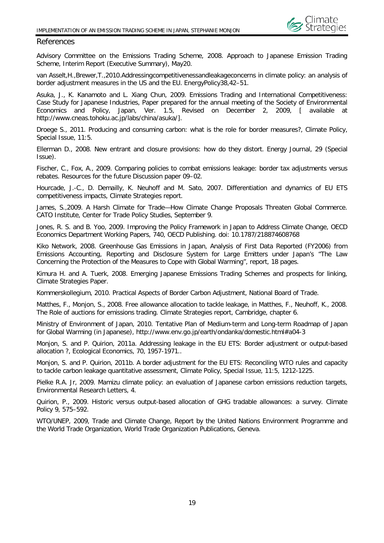

#### <span id="page-20-0"></span>References

Advisory Committee on the Emissions Trading Scheme, 2008. Approach to Japanese Emission Trading Scheme, Interim Report (Executive Summary), May20.

van Asselt,H.,Brewer,T.,2010.Addressingcompetitivenessandleakageconcerns in climate policy: an analysis of border adjustment measures in the US and the EU. EnergyPolicy38,42–51.

Asuka, J., K. Kanamoto and L. Xiang Chun, 2009. Emissions Trading and International Competitiveness: Case Study for Japanese Industries, Paper prepared for the annual meeting of the Society of Environmental Economics and Policy, Japan, Ver. 1.5, Revised on December 2, 2009, [ available at http://www.cneas.tohoku.ac.jp/labs/china/asuka/].

Droege S., 2011. Producing and consuming carbon: what is the role for border measures?, Climate Policy, Special Issue, 11:5.

Ellerman D., 2008. New entrant and closure provisions: how do they distort. Energy Journal, 29 (Special Issue).

Fischer, C., Fox, A., 2009. Comparing policies to combat emissions leakage: border tax adjustments versus rebates. Resources for the future Discussion paper 09–02.

Hourcade, J.-C., D. Demailly, K. Neuhoff and M. Sato, 2007. Differentiation and dynamics of EU ETS competitiveness impacts, Climate Strategies report.

James, S.,2009. A Harsh Climate for Trade—How Climate Change Proposals Threaten Global Commerce. CATO Institute, Center for Trade Policy Studies, September 9.

Jones, R. S. and B. Yoo, 2009. Improving the Policy Framework in Japan to Address Climate Change, OECD Economics Department Working Papers, 740, OECD Publishing. doi: 10.1787/218874608768

Kiko Network, 2008. Greenhouse Gas Emissions in Japan, Analysis of First Data Reported (FY2006) from Emissions Accounting, Reporting and Disclosure System for Large Emitters under Japan's "The Law Concerning the Protection of the Measures to Cope with Global Warming", report, 18 pages.

Kimura H. and A. Tuerk, 2008. Emerging Japanese Emissions Trading Schemes and prospects for linking, Climate Strategies Paper.

Kommerskollegium, 2010. Practical Aspects of Border Carbon Adjustment, National Board of Trade.

Matthes, F., Monjon, S., 2008. Free allowance allocation to tackle leakage, in Matthes, F., Neuhoff, K., 2008. The Role of auctions for emissions trading. Climate Strategies report, Cambridge, chapter 6.

Ministry of Environment of Japan, 2010. Tentative Plan of Medium-term and Long-term Roadmap of Japan for Global Warming (in Japanese),<http://www.env.go.jp/earth/ondanka/domestic.html#a04-3>

Monjon, S. and P. Quirion, 2011a. Addressing leakage in the EU ETS: Border adjustment or output-based allocation ?, Ecological Economics, 70, 1957-1971..

Monjon, S. and P. Quirion, 2011b. A border adjustment for the EU ETS: Reconciling WTO rules and capacity to tackle carbon leakage quantitative assessment, Climate Policy, Special Issue, 11:5, 1212-1225.

Pielke R.A. Jr, 2009. Mamizu climate policy: an evaluation of Japanese carbon emissions reduction targets, Environmental Research Letters, 4.

Quirion, P., 2009. Historic versus output-based allocation of GHG tradable allowances: a survey. Climate Policy 9, 575–592.

WTO/UNEP, 2009, Trade and Climate Change, Report by the United Nations Environment Programme and the World Trade Organization, World Trade Organization Publications, Geneva.